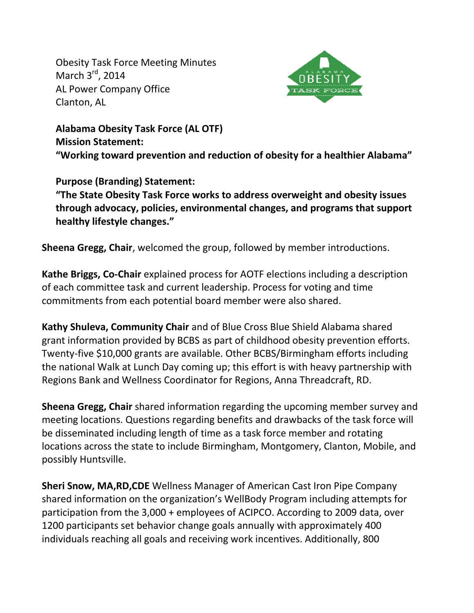Obesity Task Force Meeting Minutes March 3<sup>rd</sup>, 2014 AL Power Company Office Clanton, AL



**Alabama Obesity Task Force (AL OTF) Mission Statement: "Working toward prevention and reduction of obesity for a healthier Alabama"**

## **Purpose (Branding) Statement:**

**"The State Obesity Task Force works to address overweight and obesity issues through advocacy, policies, environmental changes, and programs that support healthy lifestyle changes."**

**Sheena Gregg, Chair**, welcomed the group, followed by member introductions.

**Kathe Briggs, Co-Chair** explained process for AOTF elections including a description of each committee task and current leadership. Process for voting and time commitments from each potential board member were also shared.

**Kathy Shuleva, Community Chair** and of Blue Cross Blue Shield Alabama shared grant information provided by BCBS as part of childhood obesity prevention efforts. Twenty-five \$10,000 grants are available. Other BCBS/Birmingham efforts including the national Walk at Lunch Day coming up; this effort is with heavy partnership with Regions Bank and Wellness Coordinator for Regions, Anna Threadcraft, RD.

**Sheena Gregg, Chair** shared information regarding the upcoming member survey and meeting locations. Questions regarding benefits and drawbacks of the task force will be disseminated including length of time as a task force member and rotating locations across the state to include Birmingham, Montgomery, Clanton, Mobile, and possibly Huntsville.

**Sheri Snow, MA,RD,CDE** Wellness Manager of American Cast Iron Pipe Company shared information on the organization's WellBody Program including attempts for participation from the 3,000 + employees of ACIPCO. According to 2009 data, over 1200 participants set behavior change goals annually with approximately 400 individuals reaching all goals and receiving work incentives. Additionally, 800